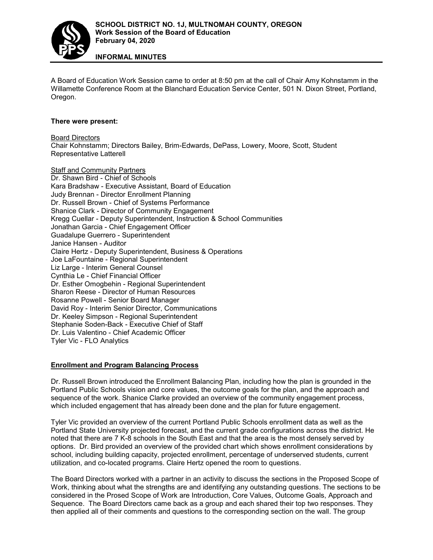

**INFORMAL MINUTES**

A Board of Education Work Session came to order at 8:50 pm at the call of Chair Amy Kohnstamm in the Willamette Conference Room at the Blanchard Education Service Center, 501 N. Dixon Street, Portland, Oregon.

## **There were present:**

Board Directors Chair Kohnstamm; Directors Bailey, Brim-Edwards, DePass, Lowery, Moore, Scott, Student Representative Latterell

Staff and Community Partners

Dr. Shawn Bird - Chief of Schools Kara Bradshaw - Executive Assistant, Board of Education Judy Brennan - Director Enrollment Planning Dr. Russell Brown - Chief of Systems Performance Shanice Clark - Director of Community Engagement Kregg Cuellar - Deputy Superintendent, Instruction & School Communities Jonathan Garcia - Chief Engagement Officer Guadalupe Guerrero - Superintendent Janice Hansen - Auditor Claire Hertz - Deputy Superintendent, Business & Operations Joe LaFountaine - Regional Superintendent Liz Large - Interim General Counsel Cynthia Le - Chief Financial Officer Dr. Esther Omogbehin - Regional Superintendent Sharon Reese - Director of Human Resources Rosanne Powell - Senior Board Manager David Roy - Interim Senior Director, Communications Dr. Keeley Simpson - Regional Superintendent Stephanie Soden-Back - Executive Chief of Staff Dr. Luis Valentino - Chief Academic Officer Tyler Vic - FLO Analytics

## **Enrollment and Program Balancing Process**

Dr. Russell Brown introduced the Enrollment Balancing Plan, including how the plan is grounded in the Portland Public Schools vision and core values, the outcome goals for the plan, and the approach and sequence of the work. Shanice Clarke provided an overview of the community engagement process, which included engagement that has already been done and the plan for future engagement.

Tyler Vic provided an overview of the current Portland Public Schools enrollment data as well as the Portland State University projected forecast, and the current grade configurations across the district. He noted that there are 7 K-8 schools in the South East and that the area is the most densely served by options. Dr. Bird provided an overview of the provided chart which shows enrollment considerations by school, including building capacity, projected enrollment, percentage of underserved students, current utilization, and co-located programs. Claire Hertz opened the room to questions.

The Board Directors worked with a partner in an activity to discuss the sections in the Proposed Scope of Work, thinking about what the strengths are and identifying any outstanding questions. The sections to be considered in the Prosed Scope of Work are Introduction, Core Values, Outcome Goals, Approach and Sequence. The Board Directors came back as a group and each shared their top two responses. They then applied all of their comments and questions to the corresponding section on the wall. The group